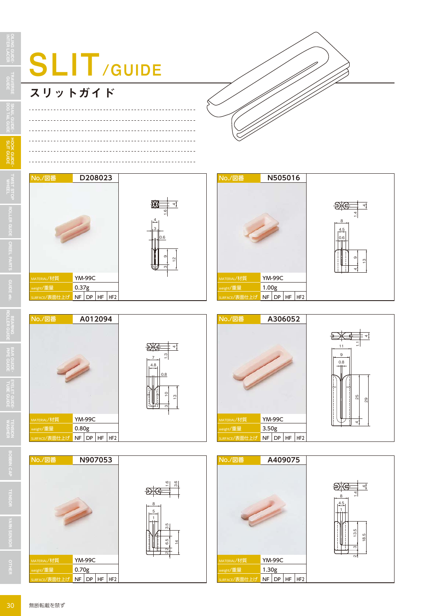

## スリットガイド

OILING GUIDEINTER LACER

TRAVERSE **I HAVERSE**<br>GUIDE

> SNAIL GUIDEDOG TAIL GUIDE

> HOOK GUIDESLIT GUIDE

HOOK GUIDE-<br>SLT GUIDE

ROLLER GUIDE

CREEL PARTS

GUIDE etc.

BEARING<br>BEARING GUIDE

BAR GUIDE PIPE GUIDE

EYELET GUIDE・TUBE GUIDE



 $\frac{1}{2}$ 

4







**TENSION** WASHER TENSION BOBBIN CAP TENSOR OTHER YARN SENSOR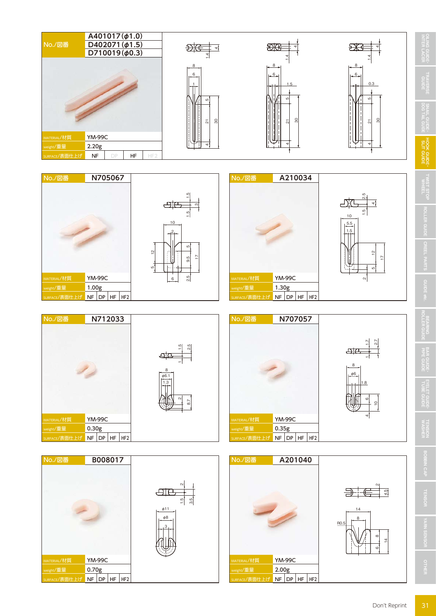

MATERIAL/材質 YM-99C  $\epsilon_{\text{light}}/\bar{\mathbf{H}}$ 量 2.00g

MATERIAL/材質 YM-99C  $v_{\text{ght}}/\bar{\mathbb{E}}$ 量 0.70g

 $NF$  DP  $H$ F  $H$ F2

 $\overline{\phantom{a}}$  NF DP HF HF2

OTHER YARN SENSOR